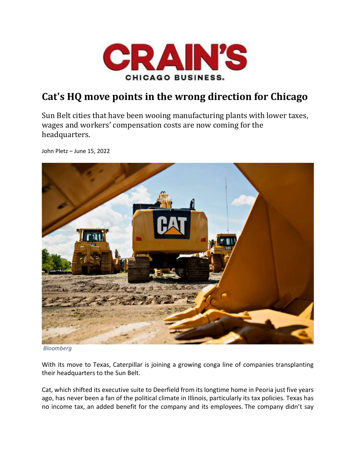

## Cat's HQ move points in the wrong direction for Chicago

Sun Belt cities that have been wooing manufacturing plants with lower taxes, wages and workers' compensation costs are now coming for the headquarters.

John Pletz – June 15, 2022



Bloomberg

With its move to Texas, Caterpillar is joining a growing conga line of companies transplanting their headquarters to the Sun Belt.

Cat, which shifted its executive suite to Deerfield from its longtime home in Peoria just five years ago, has never been a fan of the political climate in Illinois, particularly its tax policies. Texas has no income tax, an added benefit for the company and its employees. The company didn't say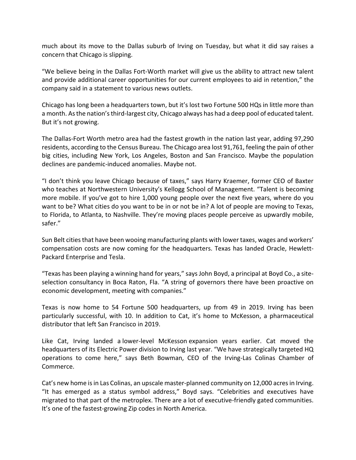much about its move to the Dallas suburb of Irving on Tuesday, but what it did say raises a concern that Chicago is slipping.

"We believe being in the Dallas Fort-Worth market will give us the ability to attract new talent and provide additional career opportunities for our current employees to aid in retention," the company said in a statement to various news outlets.

Chicago has long been a headquarters town, but it's lost two Fortune 500 HQs in little more than a month. As the nation's third-largest city, Chicago always has had a deep pool of educated talent. But it's not growing.

The Dallas-Fort Worth metro area had the fastest growth in the nation last year, adding 97,290 residents, according to the Census Bureau. The Chicago area lost 91,761, feeling the pain of other big cities, including New York, Los Angeles, Boston and San Francisco. Maybe the population declines are pandemic-induced anomalies. Maybe not.

"I don't think you leave Chicago because of taxes," says Harry Kraemer, former CEO of Baxter who teaches at Northwestern University's Kellogg School of Management. "Talent is becoming more mobile. If you've got to hire 1,000 young people over the next five years, where do you want to be? What cities do you want to be in or not be in? A lot of people are moving to Texas, to Florida, to Atlanta, to Nashville. They're moving places people perceive as upwardly mobile, safer."

Sun Belt cities that have been wooing manufacturing plants with lower taxes, wages and workers' compensation costs are now coming for the headquarters. Texas has landed Oracle, Hewlett-Packard Enterprise and Tesla.

"Texas has been playing a winning hand for years," says John Boyd, a principal at Boyd Co., a siteselection consultancy in Boca Raton, Fla. "A string of governors there have been proactive on economic development, meeting with companies."

Texas is now home to 54 Fortune 500 headquarters, up from 49 in 2019. Irving has been particularly successful, with 10. In addition to Cat, it's home to McKesson, a pharmaceutical distributor that left San Francisco in 2019.

Like Cat, Irving landed a lower-level McKesson expansion years earlier. Cat moved the headquarters of its Electric Power division to Irving last year. "We have strategically targeted HQ operations to come here," says Beth Bowman, CEO of the Irving-Las Colinas Chamber of Commerce.

Cat's new home is in Las Colinas, an upscale master-planned community on 12,000 acres in Irving. "It has emerged as a status symbol address," Boyd says. "Celebrities and executives have migrated to that part of the metroplex. There are a lot of executive-friendly gated communities. It's one of the fastest-growing Zip codes in North America.